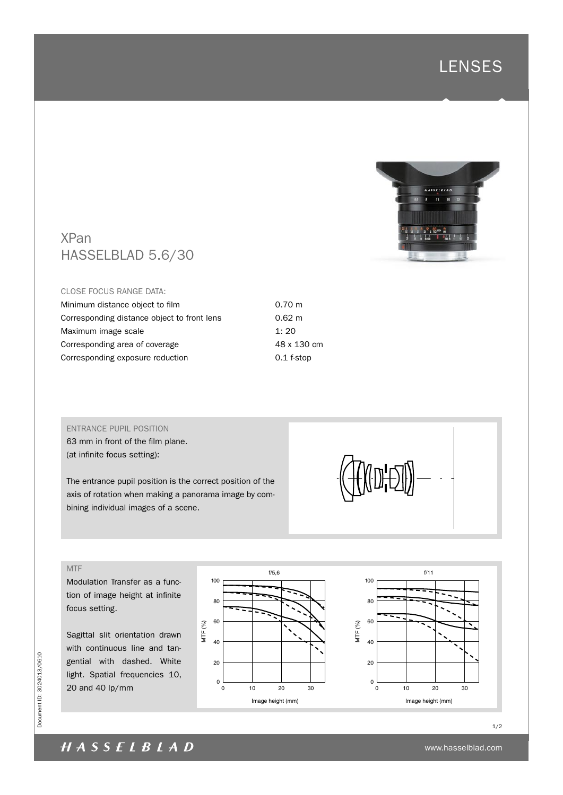



# XPan HASSELBLAD 5.6/30

#### CLOSE FOCUS RANGE DATA:

| Minimum distance object to film             | $0.70 \;{\rm m}$ |
|---------------------------------------------|------------------|
| Corresponding distance object to front lens | $0.62 \; m$      |
| Maximum image scale                         | 1:20             |
| Corresponding area of coverage              | 48 x 130 cm      |
| Corresponding exposure reduction            | $0.1$ f-stop     |
|                                             |                  |

## ENTRANCE PUPIL POSITION

63 mm in front of the film plane. (at infinite focus setting):

The entrance pupil position is the correct position of the axis of rotation when making a panorama image by combining individual images of a scene.

## MTF

Modulation Transfer as a function of image height at infinite focus setting.

Sagittal slit orientation drawn with continuous line and tangential with dashed. White light. Spatial frequencies 10, 20 and 40 lp/mm





www.hasselblad.com